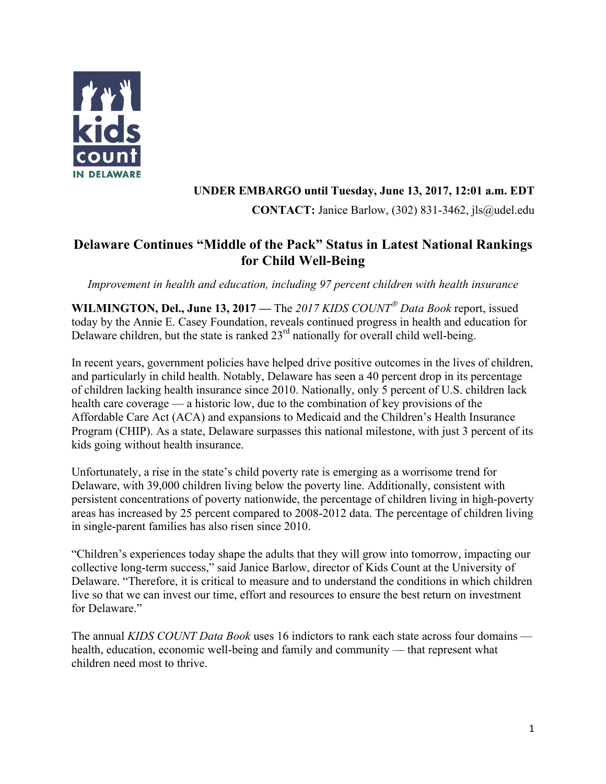

## **UNDER EMBARGO until Tuesday, June 13, 2017, 12:01 a.m. EDT**

**CONTACT:** Janice Barlow, (302) 831-3462, jls@udel.edu

# **Delaware Continues "Middle of the Pack" Status in Latest National Rankings for Child Well-Being**

*Improvement in health and education, including 97 percent children with health insurance*

WILMINGTON, Del., June 13, 2017 — The 2017 KIDS COUNT<sup>®</sup> Data Book report, issued today by the Annie E. Casey Foundation, reveals continued progress in health and education for Delaware children, but the state is ranked  $23<sup>rd</sup>$  nationally for overall child well-being.

In recent years, government policies have helped drive positive outcomes in the lives of children, and particularly in child health. Notably, Delaware has seen a 40 percent drop in its percentage of children lacking health insurance since 2010. Nationally, only 5 percent of U.S. children lack health care coverage — a historic low, due to the combination of key provisions of the Affordable Care Act (ACA) and expansions to Medicaid and the Children's Health Insurance Program (CHIP). As a state, Delaware surpasses this national milestone, with just 3 percent of its kids going without health insurance.

Unfortunately, a rise in the state's child poverty rate is emerging as a worrisome trend for Delaware, with 39,000 children living below the poverty line. Additionally, consistent with persistent concentrations of poverty nationwide, the percentage of children living in high-poverty areas has increased by 25 percent compared to 2008-2012 data. The percentage of children living in single-parent families has also risen since 2010.

"Children's experiences today shape the adults that they will grow into tomorrow, impacting our collective long-term success," said Janice Barlow, director of Kids Count at the University of Delaware. "Therefore, it is critical to measure and to understand the conditions in which children live so that we can invest our time, effort and resources to ensure the best return on investment for Delaware."

The annual *KIDS COUNT Data Book* uses 16 indictors to rank each state across four domains health, education, economic well-being and family and community — that represent what children need most to thrive.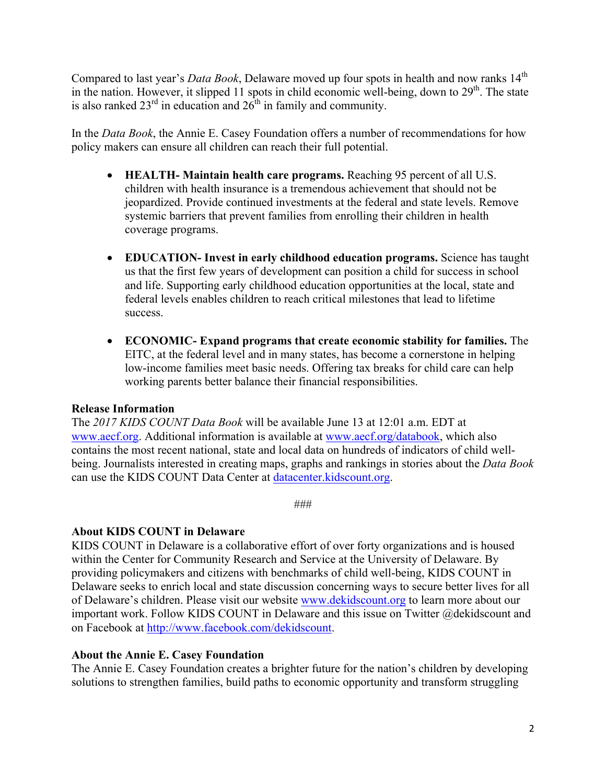Compared to last year's *Data Book*, Delaware moved up four spots in health and now ranks 14<sup>th</sup> in the nation. However, it slipped 11 spots in child economic well-being, down to  $29<sup>th</sup>$ . The state is also ranked  $23<sup>rd</sup>$  in education and  $26<sup>th</sup>$  in family and community.

In the *Data Book*, the Annie E. Casey Foundation offers a number of recommendations for how policy makers can ensure all children can reach their full potential.

- **HEALTH- Maintain health care programs.** Reaching 95 percent of all U.S. children with health insurance is a tremendous achievement that should not be jeopardized. Provide continued investments at the federal and state levels. Remove systemic barriers that prevent families from enrolling their children in health coverage programs.
- **EDUCATION- Invest in early childhood education programs.** Science has taught us that the first few years of development can position a child for success in school and life. Supporting early childhood education opportunities at the local, state and federal levels enables children to reach critical milestones that lead to lifetime success.
- **ECONOMIC- Expand programs that create economic stability for families.** The EITC, at the federal level and in many states, has become a cornerstone in helping low-income families meet basic needs. Offering tax breaks for child care can help working parents better balance their financial responsibilities.

### **Release Information**

The *2017 KIDS COUNT Data Book* will be available June 13 at 12:01 a.m. EDT at www.aecf.org. Additional information is available at www.aecf.org/databook, which also contains the most recent national, state and local data on hundreds of indicators of child wellbeing. Journalists interested in creating maps, graphs and rankings in stories about the *Data Book* can use the KIDS COUNT Data Center at datacenter.kidscount.org.

###

### **About KIDS COUNT in Delaware**

KIDS COUNT in Delaware is a collaborative effort of over forty organizations and is housed within the Center for Community Research and Service at the University of Delaware. By providing policymakers and citizens with benchmarks of child well-being, KIDS COUNT in Delaware seeks to enrich local and state discussion concerning ways to secure better lives for all of Delaware's children. Please visit our website www.dekidscount.org to learn more about our important work. Follow KIDS COUNT in Delaware and this issue on Twitter @dekidscount and on Facebook at http://www.facebook.com/dekidscount.

### **About the Annie E. Casey Foundation**

The Annie E. Casey Foundation creates a brighter future for the nation's children by developing solutions to strengthen families, build paths to economic opportunity and transform struggling